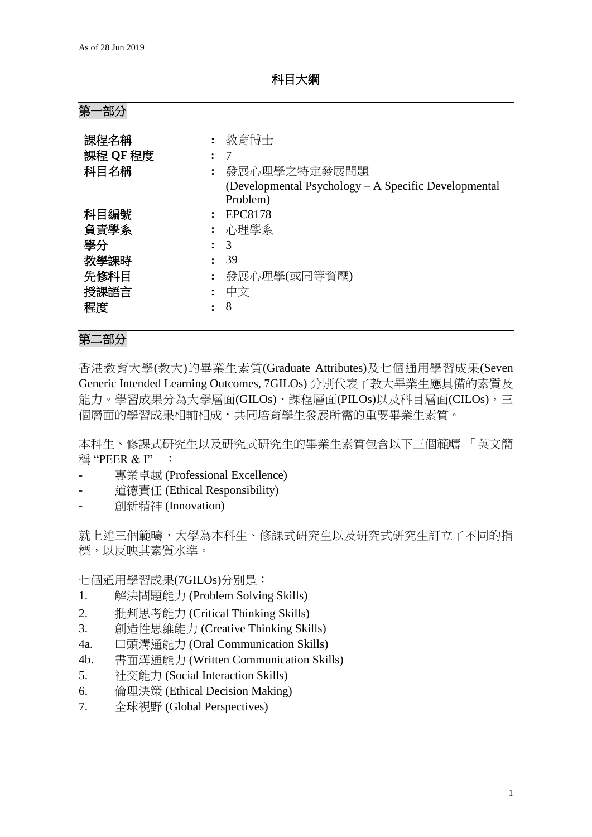科目大綱

第一部分

| 課程名稱<br>課程 QF 程度<br>科目名稱 | 教育博士<br>-7<br>發展心理學之特定發展問題                                       |
|--------------------------|------------------------------------------------------------------|
|                          | (Developmental Psychology – A Specific Developmental<br>Problem) |
| 科目編號                     | EPC8178                                                          |
| 負責學系                     | : 心理學系                                                           |
| 學分                       | 3                                                                |
| 教學課時                     | 39                                                               |
| 先修科目                     | 發展心理學(或同等資歷)                                                     |
| 授課語言                     | 中文                                                               |
| 程度                       | 8                                                                |

## 第二部分

香港教育大學(教大)的畢業生素質(Graduate Attributes)及七個通用學習成果(Seven Generic Intended Learning Outcomes, 7GILOs) 分別代表了教大畢業生應具備的素質及 能力。學習成果分為大學層面(GILOs)、課程層面(PILOs)以及科目層面(CILOs),三 個層面的學習成果相輔相成,共同培育學生發展所需的重要畢業生素質。

本科生、修課式研究生以及研究式研究生的畢業生素質包含以下三個範疇 「英文簡 稱 "PEER  $\&$  I"  $\vert$  :

- 專業卓越 (Professional Excellence)
- 道德責任 (Ethical Responsibility)
- 創新精神 (Innovation)

就上述三個範疇,大學為本科生、修課式研究生以及研究式研究生訂立了不同的指 標,以反映其素質水準。

七個通用學習成果(7GILOs)分別是:

- 1. 解決問題能力 (Problem Solving Skills)
- 2. 批判思考能力 (Critical Thinking Skills)
- 3. 創造性思維能力 (Creative Thinking Skills)
- 4a. 口頭溝通能力 (Oral Communication Skills)
- 4b. 書面溝通能力 (Written Communication Skills)
- 5. 社交能力 (Social Interaction Skills)
- 6. 倫理決策 (Ethical Decision Making)
- 7. 全球視野 (Global Perspectives)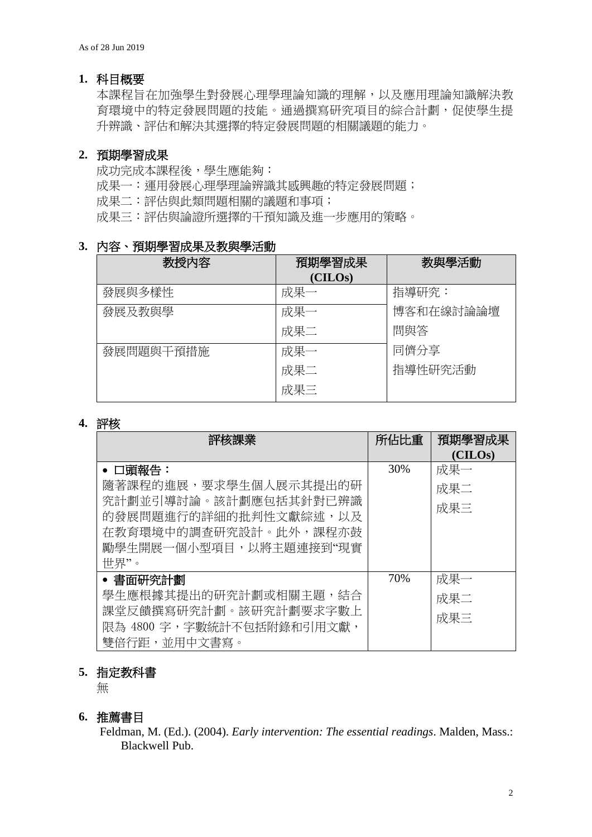### **1.** 科目概要

本課程旨在加強學生對發展心理學理論知識的理解,以及應用理論知識解決教 育環境中的特定發展問題的技能。通過撰寫研究項目的綜合計劃,促使學生提 升辨識、評估和解決其選擇的特定發展問題的相關議題的能力。

### **2.** 預期學習成果

成功完成本課程後,學生應能夠: 成果一:運用發展心理學理論辨識其感興趣的特定發展問題; 成果二:評估與此類問題相關的議題和事項; 成果三:評估與論證所選擇的干預知識及進一步應用的策略。

## **3.** 內容、預期學習成果及教與學活動

| 教授內容      | 預期學習成果  | 教與學活動     |
|-----------|---------|-----------|
|           | (CHLOS) |           |
| 發展與多樣性    | 成果一     | 指導研究:     |
| 發展及教與學    | 成果一     | 博客和在線討論論壇 |
|           | 成果二     | 問與答       |
| 發展問題與干預措施 | 成果一     | 同儕分享      |
|           | 成果二     | 指導性研究活動   |
|           | 成果三     |           |

#### **4.** 評核

| 評核課業                                                                                                      | 所佔比重 | 預期學習成果  |
|-----------------------------------------------------------------------------------------------------------|------|---------|
|                                                                                                           |      | (CHLOS) |
| • 口頭報告:                                                                                                   | 30%  | 成果一     |
| 隨著課程的進展,要求學生個人展示其提出的研                                                                                     |      | 成果二     |
| 究計劃並引導討論。該計劃應包括其針對已辨識<br>的發展問題進行的詳細的批判性文獻綜述,以及<br>在教育環境中的調查研究設計。此外,課程亦鼓<br>勵學生開展一個小型項目,以將主題連接到"現實<br>世界"。 |      | 成果三     |
| • 書面研究計劃                                                                                                  | 70%  | 成果一     |
| 學生應根據其提出的研究計劃或相關主題,結合                                                                                     |      | 成果二     |
| 課堂反饋撰寫研究計劃。該研究計劃要求字數上                                                                                     |      | 成果三     |
| 限為 4800 字,字數統計不包括附錄和引用文獻,                                                                                 |      |         |
| 雙倍行距,並用中文書寫。                                                                                              |      |         |

### **5.** 指定教科書

無

#### **6.** 推薦書目

Feldman, M. (Ed.). (2004). *Early intervention: The essential readings*. Malden, Mass.: Blackwell Pub.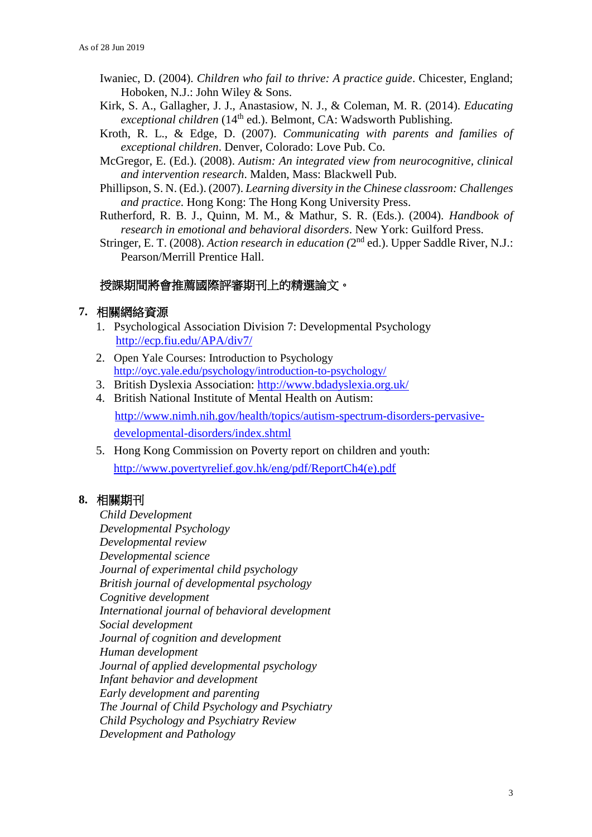- Iwaniec, D. (2004). *Children who fail to thrive: A practice guide*. Chicester, England; Hoboken, N.J.: John Wiley & Sons.
- Kirk, S. A., Gallagher, J. J., Anastasiow, N. J., & Coleman, M. R. (2014). *Educating exceptional children* (14<sup>th</sup> ed.). Belmont, CA: Wadsworth Publishing.
- Kroth, R. L., & Edge, D. (2007). *Communicating with parents and families of exceptional children*. Denver, Colorado: Love Pub. Co.
- McGregor, E. (Ed.). (2008). *Autism: An integrated view from neurocognitive, clinical and intervention research*. Malden, Mass: Blackwell Pub.
- Phillipson, S. N. (Ed.). (2007). *Learning diversity in the Chinese classroom: Challenges and practice*. Hong Kong: The Hong Kong University Press.
- Rutherford, R. B. J., Quinn, M. M., & Mathur, S. R. (Eds.). (2004). *Handbook of research in emotional and behavioral disorders*. New York: Guilford Press.
- Stringer, E. T. (2008). *Action research in education* (2<sup>nd</sup> ed.). Upper Saddle River, N.J.: Pearson/Merrill Prentice Hall.

### 授課期間將會推薦國際評審期刊上的精選論文。

#### **7.** 相關網絡資源

- 1. Psychological Association Division 7: Developmental Psychology <http://ecp.fiu.edu/APA/div7/>
- 2. Open Yale Courses: Introduction to Psychology <http://oyc.yale.edu/psychology/introduction-to-psychology/>
- 3. British Dyslexia Association:<http://www.bdadyslexia.org.uk/>
- 4. British National Institute of Mental Health on Autism: [http://www.nimh.nih.gov/health/topics/autism-spectrum-disorders-pervasive](http://www.nimh.nih.gov/health/topics/autism-spectrum-disorders-pervasive-developmental-disorders/index.shtml)[developmental-disorders/index.shtml](http://www.nimh.nih.gov/health/topics/autism-spectrum-disorders-pervasive-developmental-disorders/index.shtml)
- 5. Hong Kong Commission on Poverty report on children and youth: [http://www.povertyrelief.gov.hk/eng/pdf/ReportCh4\(e\).pdf](http://www.povertyrelief.gov.hk/eng/pdf/ReportCh4(e).pdf)

### **8.** 相關期刊

*Child Development Developmental Psychology Developmental review Developmental science Journal of experimental child psychology British journal of developmental psychology Cognitive development International journal of behavioral development Social development Journal of cognition and development Human development Journal of applied developmental psychology Infant behavior and development Early development and parenting The Journal of Child Psychology and Psychiatry [Child Psychology and Psychiatry Review](http://www.cup.cam.ac.uk/scripts/webjrn1.asp?Mnemonic=cpr) [Development and Pathology](http://www.journals.cup.org/bin/bladerunner?30REQEVENT=&REQAUTH=0&116000REQSUB==&REQSTR1=DPP)*